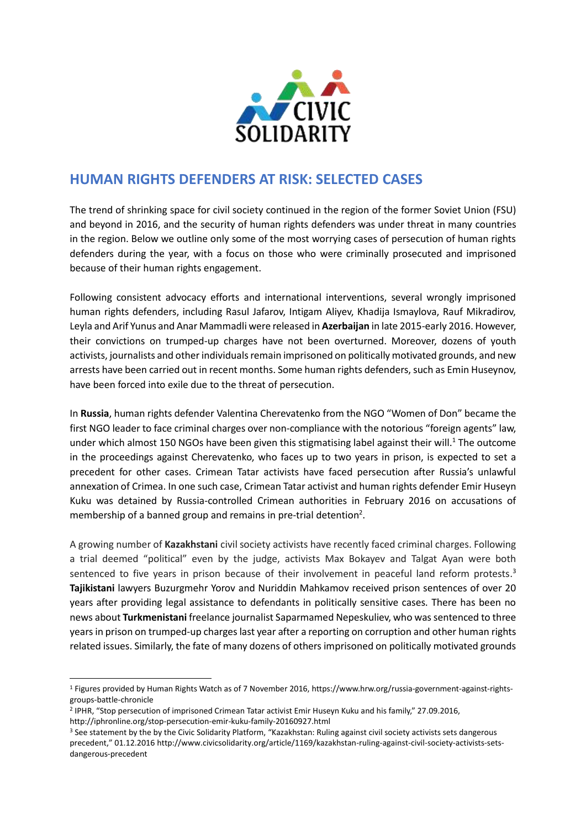

## **HUMAN RIGHTS DEFENDERS AT RISK: SELECTED CASES**

The trend of shrinking space for civil society continued in the region of the former Soviet Union (FSU) and beyond in 2016, and the security of human rights defenders was under threat in many countries in the region. Below we outline only some of the most worrying cases of persecution of human rights defenders during the year, with a focus on those who were criminally prosecuted and imprisoned because of their human rights engagement.

Following consistent advocacy efforts and international interventions, several wrongly imprisoned human rights defenders, including Rasul Jafarov, Intigam Aliyev, Khadija Ismaylova, Rauf Mikradirov, Leyla and Arif Yunus and Anar Mammadli were released in **Azerbaijan** in late 2015-early 2016. However, their convictions on trumped-up charges have not been overturned. Moreover, dozens of youth activists, journalists and other individuals remain imprisoned on politically motivated grounds, and new arrests have been carried out in recent months. Some human rights defenders, such as Emin Huseynov, have been forced into exile due to the threat of persecution.

In **Russia**, human rights defender Valentina Cherevatenko from the NGO "Women of Don" became the first NGO leader to face criminal charges over non-compliance with the notorious "foreign agents" law, under which almost 150 NGOs have been given this stigmatising label against their will.<sup>1</sup> The outcome in the proceedings against Cherevatenko, who faces up to two years in prison, is expected to set a precedent for other cases. Crimean Tatar activists have faced persecution after Russia's unlawful annexation of Crimea. In one such case, Crimean Tatar activist and human rights defender Emir Huseyn Kuku was detained by Russia-controlled Crimean authorities in February 2016 on accusations of membership of a banned group and remains in pre-trial detention<sup>2</sup>.

A growing number of **Kazakhstani** civil society activists have recently faced criminal charges. Following a trial deemed "political" even by the judge, activists Max Bokayev and Talgat Ayan were both sentenced to five years in prison because of their involvement in peaceful land reform protests.<sup>3</sup> **Tajikistani** lawyers Buzurgmehr Yorov and Nuriddin Mahkamov received prison sentences of over 20 years after providing legal assistance to defendants in politically sensitive cases. There has been no news about **Turkmenistani** freelance journalist Saparmamed Nepeskuliev, who was sentenced to three years in prison on trumped-up charges last year after a reporting on corruption and other human rights related issues. Similarly, the fate of many dozens of others imprisoned on politically motivated grounds

 $\overline{a}$ 

<sup>1</sup> Figures provided by Human Rights Watch as of 7 November 2016, [https://www.hrw.org/russia-government-against-rights](https://www.hrw.org/russia-government-against-rights-groups-battle-chronicle)[groups-battle-chronicle](https://www.hrw.org/russia-government-against-rights-groups-battle-chronicle)

<sup>2</sup> IPHR, "Stop persecution of imprisoned Crimean Tatar activist Emir Huseyn Kuku and his family," 27.09.2016,

http://iphronline.org/stop-persecution-emir-kuku-family-20160927.html

<sup>&</sup>lt;sup>3</sup> See statement by the by the Civic Solidarity Platform, "Kazakhstan: Ruling against civil society activists sets dangerous precedent," 01.12.201[6 http://www.civicsolidarity.org/article/1169/kazakhstan-ruling-against-civil-society-activists-sets](http://www.civicsolidarity.org/article/1169/kazakhstan-ruling-against-civil-society-activists-sets-dangerous-precedent)[dangerous-precedent](http://www.civicsolidarity.org/article/1169/kazakhstan-ruling-against-civil-society-activists-sets-dangerous-precedent)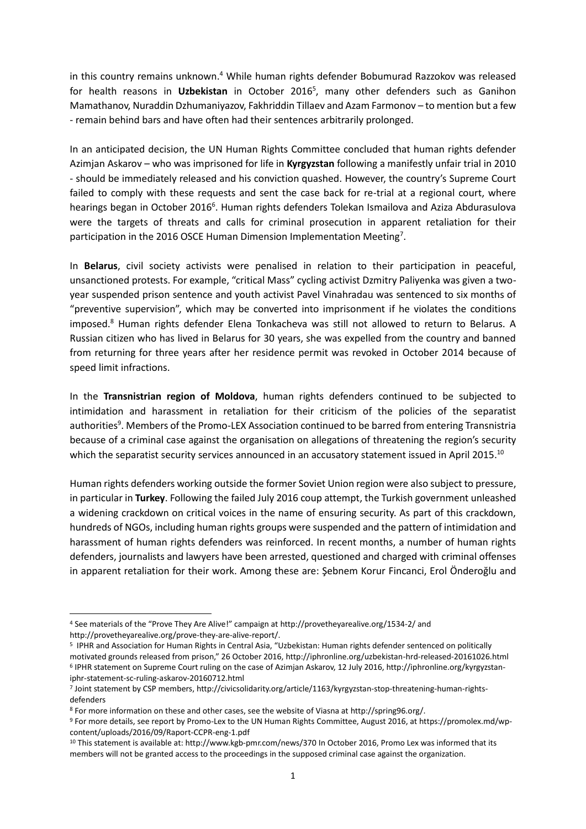in this country remains unknown. <sup>4</sup> While human rights defender Bobumurad Razzokov was released for health reasons in **Uzbekistan** in October 2016<sup>5</sup> , many other defenders such as Ganihon Mamathanov, Nuraddin Dzhumaniyazov, Fakhriddin Tillaev and Azam Farmonov – to mention but a few - remain behind bars and have often had their sentences arbitrarily prolonged.

In an anticipated decision, the UN Human Rights Committee concluded that human rights defender Azimjan Askarov – who was imprisoned for life in **Kyrgyzstan** following a manifestly unfair trial in 2010 - should be immediately released and his conviction quashed. However, the country's Supreme Court failed to comply with these requests and sent the case back for re-trial at a regional court, where hearings began in October 2016<sup>6</sup>. Human rights defenders Tolekan Ismailova and Aziza Abdurasulova were the targets of threats and calls for criminal prosecution in apparent retaliation for their participation in the 2016 OSCE Human Dimension Implementation Meeting<sup>7</sup>.

In **Belarus**, civil society activists were penalised in relation to their participation in peaceful, unsanctioned protests. For example, "critical Mass" cycling activist Dzmitry Paliyenka was given a twoyear suspended prison sentence and youth activist Pavel Vinahradau was sentenced to six months of "preventive supervision", which may be converted into imprisonment if he violates the conditions imposed. <sup>8</sup> Human rights defender Elena Tonkacheva was still not allowed to return to Belarus. A Russian citizen who has lived in Belarus for 30 years, she was expelled from the country and banned from returning for three years after her residence permit was revoked in October 2014 because of speed limit infractions.

In the **Transnistrian region of Moldova**, human rights defenders continued to be subjected to intimidation and harassment in retaliation for their criticism of the policies of the separatist authorities<sup>9</sup>. Members of the Promo-LEX Association continued to be barred from entering Transnistria because of a criminal case against the organisation on allegations of threatening the region's security which the separatist security services announced in an accusatory statement issued in April 2015. $^{10}$ 

Human rights defenders working outside the former Soviet Union region were also subject to pressure, in particular in **Turkey**. Following the failed July 2016 coup attempt, the Turkish government unleashed a widening crackdown on critical voices in the name of ensuring security. As part of this crackdown, hundreds of NGOs, including human rights groups were suspended and the pattern of intimidation and harassment of human rights defenders was reinforced. In recent months, a number of human rights defenders, journalists and lawyers have been arrested, questioned and charged with criminal offenses in apparent retaliation for their work. Among these are: Şebnem Korur Fincanci, Erol Önderoğlu and

 $\overline{a}$ 

<sup>4</sup> See materials of the "Prove They Are Alive!" campaign at <http://provetheyarealive.org/1534-2/> and [http://provetheyarealive.org/prove-they-are-alive-report/.](http://provetheyarealive.org/prove-they-are-alive-report/)

<sup>5</sup> IPHR and Association for Human Rights in Central Asia, "Uzbekistan: Human rights defender sentenced on politically motivated grounds released from prison," 26 October 2016, http://iphronline.org/uzbekistan-hrd-released-20161026.html 6 IPHR statement on Supreme Court ruling on the case of Azimjan Askarov, 12 July 2016, http://iphronline.org/kyrgyzstaniphr-statement-sc-ruling-askarov-20160712.html

<sup>7</sup> Joint statement by CSP members, [http://civicsolidarity.org/article/1163/kyrgyzstan-stop-threatening-human-rights](http://civicsolidarity.org/article/1163/kyrgyzstan-stop-threatening-human-rights-defenders)[defenders](http://civicsolidarity.org/article/1163/kyrgyzstan-stop-threatening-human-rights-defenders)

<sup>8</sup> For more information on these and other cases, see the website of Viasna a[t http://spring96.org/.](http://spring96.org/) 

<sup>9</sup> For more details, see report by Promo-Lex to the UN Human Rights Committee, August 2016, a[t https://promolex.md/wp](https://promolex.md/wp-content/uploads/2016/09/Raport-CCPR-eng-1.pdf)[content/uploads/2016/09/Raport-CCPR-eng-1.pdf](https://promolex.md/wp-content/uploads/2016/09/Raport-CCPR-eng-1.pdf)

<sup>10</sup> This statement is available at[: http://www.kgb-pmr.com/news/370](http://www.kgb-pmr.com/news/370) In October 2016, Promo Lex was informed that its members will not be granted access to the proceedings in the supposed criminal case against the organization.